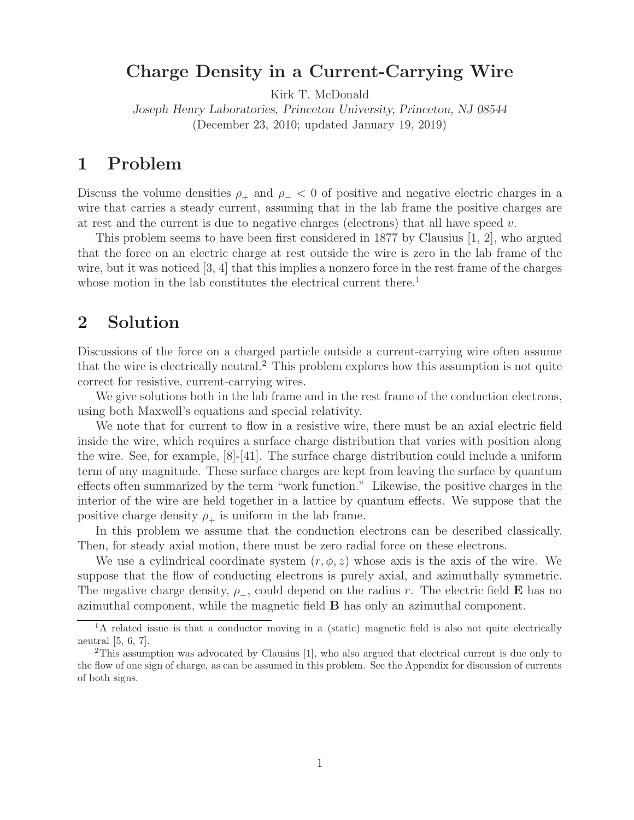## **Charge Density in a Current-Carrying Wire**

Kirk T. McDonald

*Joseph Henry Laboratories, Princeton University, Princeton, NJ 08544* (December 23, 2010; updated January 19, 2019)

### **1 Problem**

Discuss the volume densities  $\rho_+$  and  $\rho_- < 0$  of positive and negative electric charges in a wire that carries a steady current, assuming that in the lab frame the positive charges are at rest and the current is due to negative charges (electrons) that all have speed  $v$ .

This problem seems to have been first considered in 1877 by Clausius [1, 2], who argued that the force on an electric charge at rest outside the wire is zero in the lab frame of the wire, but it was noticed [3, 4] that this implies a nonzero force in the rest frame of the charges whose motion in the lab constitutes the electrical current there.<sup>1</sup>

# **2 Solution**

Discussions of the force on a charged particle outside a current-carrying wire often assume that the wire is electrically neutral.<sup>2</sup> This problem explores how this assumption is not quite correct for resistive, current-carrying wires.

We give solutions both in the lab frame and in the rest frame of the conduction electrons, using both Maxwell's equations and special relativity.

We note that for current to flow in a resistive wire, there must be an axial electric field inside the wire, which requires a surface charge distribution that varies with position along the wire. See, for example,  $[8]-[41]$ . The surface charge distribution could include a uniform term of any magnitude. These surface charges are kept from leaving the surface by quantum effects often summarized by the term "work function." Likewise, the positive charges in the interior of the wire are held together in a lattice by quantum effects. We suppose that the positive charge density  $\rho_+$  is uniform in the lab frame.

In this problem we assume that the conduction electrons can be described classically. Then, for steady axial motion, there must be zero radial force on these electrons.

We use a cylindrical coordinate system  $(r, \phi, z)$  whose axis is the axis of the wire. We suppose that the flow of conducting electrons is purely axial, and azimuthally symmetric. The negative charge density, <sup>ρ</sup>−, could depend on the radius <sup>r</sup>. The electric field **<sup>E</sup>** has no azimuthal component, while the magnetic field **B** has only an azimuthal component.

 ${}^{1}$ A related issue is that a conductor moving in a (static) magnetic field is also not quite electrically neutral [5, 6, 7].

<sup>&</sup>lt;sup>2</sup>This assumption was advocated by Clausius [1], who also argued that electrical current is due only to the flow of one sign of charge, as can be assumed in this problem. See the Appendix for discussion of currents of both signs.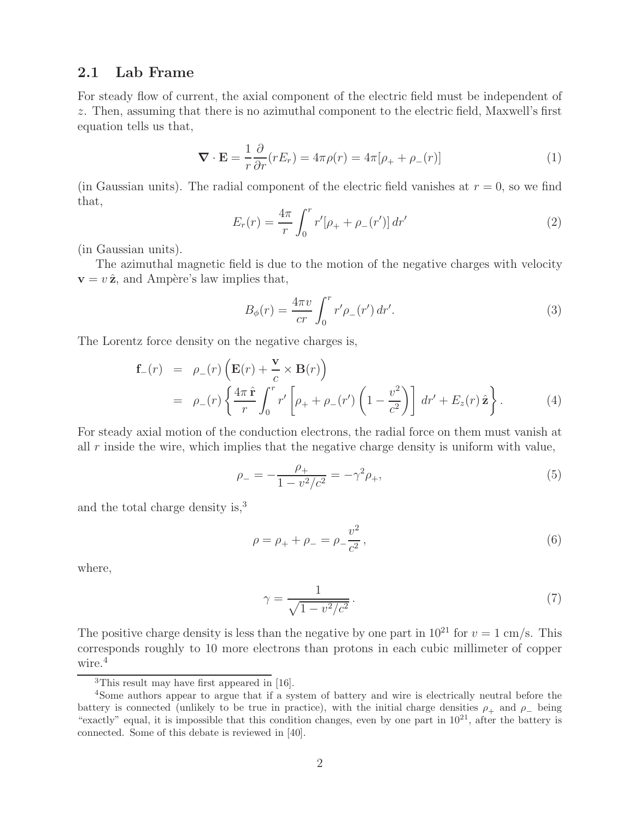### **2.1 Lab Frame**

For steady flow of current, the axial component of the electric field must be independent of z. Then, assuming that there is no azimuthal component to the electric field, Maxwell's first equation tells us that,

$$
\nabla \cdot \mathbf{E} = \frac{1}{r} \frac{\partial}{\partial r} (r E_r) = 4\pi \rho(r) = 4\pi [\rho_+ + \rho_-(r)] \tag{1}
$$

(in Gaussian units). The radial component of the electric field vanishes at  $r = 0$ , so we find that,

$$
E_r(r) = \frac{4\pi}{r} \int_0^r r' [\rho_+ + \rho_-(r')] \, dr'
$$
 (2)

(in Gaussian units).

The azimuthal magnetic field is due to the motion of the negative charges with velocity  $\mathbf{v} = v \hat{\mathbf{z}}$ , and Ampère's law implies that,

$$
B_{\phi}(r) = \frac{4\pi v}{cr} \int_0^r r'\rho_{-}(r') dr'.
$$
 (3)

The Lorentz force density on the negative charges is,

$$
\mathbf{f}_{-}(r) = \rho_{-}(r) \left( \mathbf{E}(r) + \frac{\mathbf{v}}{c} \times \mathbf{B}(r) \right)
$$
  
=  $\rho_{-}(r) \left\{ \frac{4\pi \hat{\mathbf{r}}}{r} \int_{0}^{r} r' \left[ \rho_{+} + \rho_{-}(r') \left( 1 - \frac{v^{2}}{c^{2}} \right) \right] dr' + E_{z}(r) \hat{\mathbf{z}} \right\}.$  (4)

For steady axial motion of the conduction electrons, the radial force on them must vanish at all r inside the wire, which implies that the negative charge density is uniform with value,

$$
\rho_{-} = -\frac{\rho_{+}}{1 - v^2/c^2} = -\gamma^2 \rho_{+},\tag{5}
$$

and the total charge density is,<sup>3</sup>

$$
\rho = \rho_+ + \rho_- = \rho_- \frac{v^2}{c^2},\tag{6}
$$

where,

$$
\gamma = \frac{1}{\sqrt{1 - v^2/c^2}}.\tag{7}
$$

The positive charge density is less than the negative by one part in  $10^{21}$  for  $v = 1$  cm/s. This corresponds roughly to 10 more electrons than protons in each cubic millimeter of copper wire.<sup>4</sup>

<sup>3</sup>This result may have first appeared in [16].

<sup>4</sup>Some authors appear to argue that if a system of battery and wire is electrically neutral before the battery is connected (unlikely to be true in practice), with the initial charge densities  $\rho_+$  and  $\rho_-$  being "exactly" equal, it is impossible that this condition changes, even by one part in  $10^{21}$ , after the battery is connected. Some of this debate is reviewed in [40].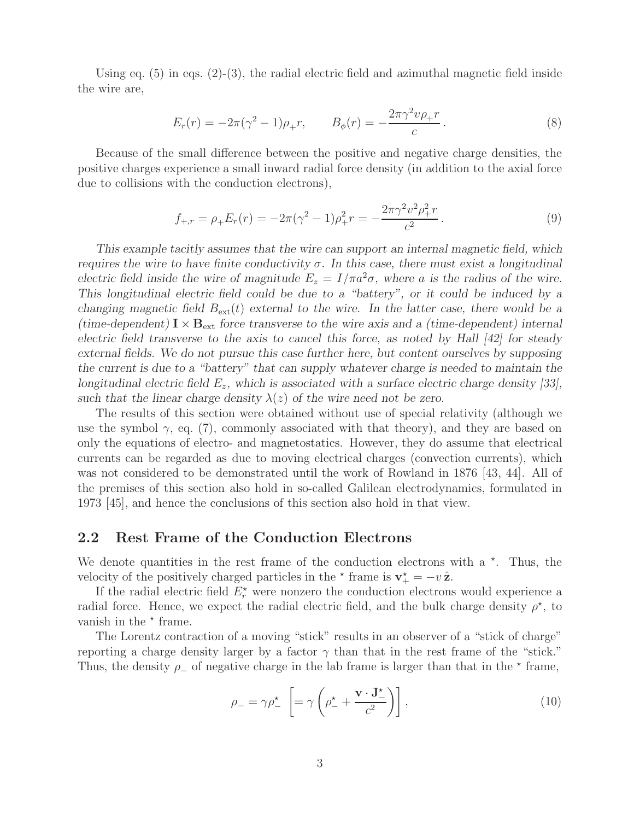Using eq.  $(5)$  in eqs.  $(2)-(3)$ , the radial electric field and azimuthal magnetic field inside the wire are,

$$
E_r(r) = -2\pi(\gamma^2 - 1)\rho_+ r, \qquad B_\phi(r) = -\frac{2\pi\gamma^2 v \rho_+ r}{c} \,. \tag{8}
$$

Because of the small difference between the positive and negative charge densities, the positive charges experience a small inward radial force density (in addition to the axial force due to collisions with the conduction electrons),

$$
f_{+,r} = \rho_+ E_r(r) = -2\pi(\gamma^2 - 1)\rho_+^2 r = -\frac{2\pi\gamma^2 v^2 \rho_+^2 r}{c^2}.
$$
\n(9)

*This example tacitly assumes that the wire can support an internal magnetic field, which requires the wire to have finite conductivity* σ*. In this case, there must exist a longitudinal electric field inside the wire of magnitude*  $E_z = I/\pi a^2 \sigma$ , where a *is the radius of the wire. This longitudinal electric field could be due to a "battery", or it could be induced by a changing magnetic field*  $B_{ext}(t)$  *external to the wire. In the latter case, there would be a (time-dependent)*  $I \times B_{ext}$  *force transverse to the wire axis and a (time-dependent) internal electric field transverse to the axis to cancel this force, as noted by Hall [42] for steady external fields. We do not pursue this case further here, but content ourselves by supposing the current is due to a "battery" that can supply whatever charge is needed to maintain the longitudinal electric field* Ez*, which is associated with a surface electric charge density [33],* such that the linear charge density  $\lambda(z)$  of the wire need not be zero.

The results of this section were obtained without use of special relativity (although we use the symbol  $\gamma$ , eq. (7), commonly associated with that theory), and they are based on only the equations of electro- and magnetostatics. However, they do assume that electrical currents can be regarded as due to moving electrical charges (convection currents), which was not considered to be demonstrated until the work of Rowland in 1876 [43, 44]. All of the premises of this section also hold in so-called Galilean electrodynamics, formulated in 1973 [45], and hence the conclusions of this section also hold in that view.

#### **2.2 Rest Frame of the Conduction Electrons**

We denote quantities in the rest frame of the conduction electrons with a  $\star$ . Thus, the velocity of the positively charged particles in the  $\star$  frame is  $\mathbf{v}_{+}^{\star} = -v \hat{\mathbf{z}}$ .

If the radial electric field  $E_r^*$  were nonzero the conduction electrons would experience a radial force. Hence, we expect the radial electric field, and the bulk charge density  $\rho^*$ , to vanish in the  $*$  frame.

The Lorentz contraction of a moving "stick" results in an observer of a "stick of charge" reporting a charge density larger by a factor  $\gamma$  than that in the rest frame of the "stick." Thus, the density  $\rho_-\$  of negative charge in the lab frame is larger than that in the  $\star$  frame,

$$
\rho_{-} = \gamma \rho_{-}^{\star} \left[ = \gamma \left( \rho_{-}^{\star} + \frac{\mathbf{v} \cdot \mathbf{J}_{-}^{\star}}{c^2} \right) \right], \qquad (10)
$$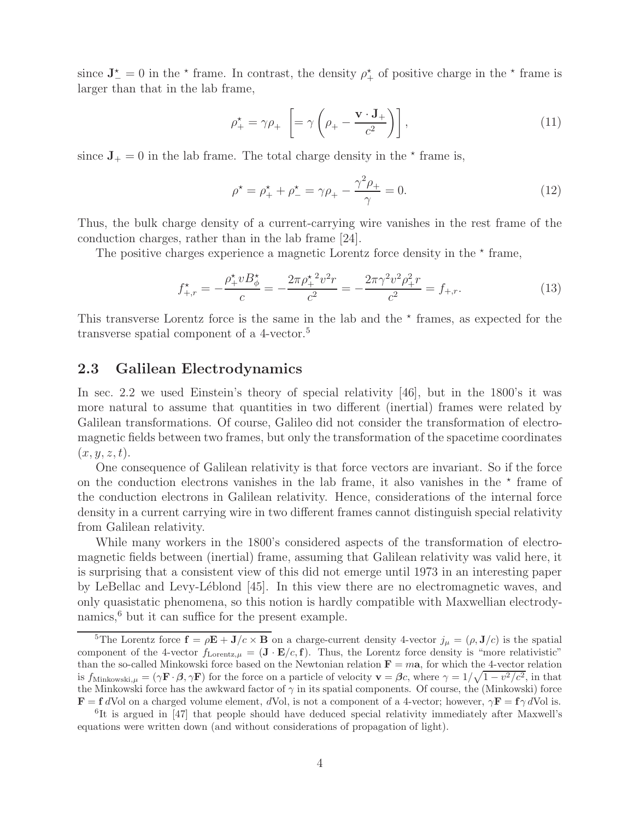since  $J_{-}^{\star} = 0$  in the  $\star$  frame. In contrast, the density  $\rho_{+}^{\star}$  of positive charge in the  $\star$  frame is larger than that in the lab frame,

$$
\rho_+^* = \gamma \rho_+ \left[ = \gamma \left( \rho_+ - \frac{\mathbf{v} \cdot \mathbf{J}_+}{c^2} \right) \right],\tag{11}
$$

since  $J_+ = 0$  in the lab frame. The total charge density in the  $\star$  frame is,

$$
\rho^* = \rho_+^* + \rho_-^* = \gamma \rho_+ - \frac{\gamma^2 \rho_+}{\gamma} = 0.
$$
\n(12)

Thus, the bulk charge density of a current-carrying wire vanishes in the rest frame of the conduction charges, rather than in the lab frame [24].

The positive charges experience a magnetic Lorentz force density in the  $*$  frame,

$$
f_{+,r}^* = -\frac{\rho_+^* v B_\phi^*}{c} = -\frac{2\pi \rho_+^*^2 v^2 r}{c^2} = -\frac{2\pi \gamma^2 v^2 \rho_+^2 r}{c^2} = f_{+,r}.
$$
 (13)

This transverse Lorentz force is the same in the lab and the  $\star$  frames, as expected for the transverse spatial component of a 4-vector.<sup>5</sup>

### **2.3 Galilean Electrodynamics**

In sec. 2.2 we used Einstein's theory of special relativity [46], but in the 1800's it was more natural to assume that quantities in two different (inertial) frames were related by Galilean transformations. Of course, Galileo did not consider the transformation of electromagnetic fields between two frames, but only the transformation of the spacetime coordinates  $(x, y, z, t).$ 

One consequence of Galilean relativity is that force vectors are invariant. So if the force on the conduction electrons vanishes in the lab frame, it also vanishes in the  $\star$  frame of the conduction electrons in Galilean relativity. Hence, considerations of the internal force density in a current carrying wire in two different frames cannot distinguish special relativity from Galilean relativity.

While many workers in the 1800's considered aspects of the transformation of electromagnetic fields between (inertial) frame, assuming that Galilean relativity was valid here, it is surprising that a consistent view of this did not emerge until 1973 in an interesting paper by LeBellac and Levy-Léblond [45]. In this view there are no electromagnetic waves, and only quasistatic phenomena, so this notion is hardly compatible with Maxwellian electrodynamics, $6$  but it can suffice for the present example.

<sup>&</sup>lt;sup>5</sup>The Lorentz force  $\mathbf{f} = \rho \mathbf{E} + \mathbf{J}/c \times \mathbf{B}$  on a charge-current density 4-vector  $j_{\mu} = (\rho, \mathbf{J}/c)$  is the spatial component of the 4-vector  $f_{\text{Lorentz},\mu} = (\mathbf{J} \cdot \mathbf{E}/c, \mathbf{f})$ . Thus, the Lorentz force density is "more relativistic" than the so-called Minkowski force based on the Newtonian relation  $\mathbf{F} = m\mathbf{a}$ , for which the 4-vector relation is  $f_{\text{Minkowski},\mu} = (\gamma \mathbf{F} \cdot \mathbf{\beta}, \gamma \mathbf{F})$  for the force on a particle of velocity  $\mathbf{v} = \mathbf{\beta}c$ , where  $\gamma = 1/\sqrt{1 - v^2/c^2}$ , in that the Minkowski force has the awkward factor of  $\gamma$  in its spatial components. Of course, the (Minkowski) force **F** = **f** dVol on a charged volume element, dVol, is not a component of a 4-vector; however,  $\gamma \mathbf{F} = \mathbf{f} \gamma d$ Vol is.

<sup>&</sup>lt;sup>6</sup>It is argued in [47] that people should have deduced special relativity immediately after Maxwell's equations were written down (and without considerations of propagation of light).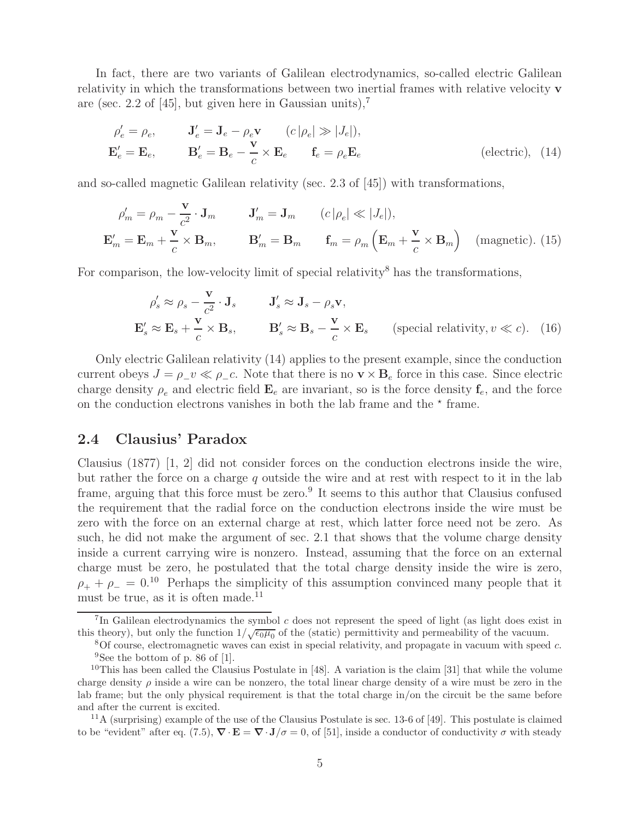In fact, there are two variants of Galilean electrodynamics, so-called electric Galilean relativity in which the transformations between two inertial frames with relative velocity **v** are (sec. 2.2 of [45], but given here in Gaussian units),<sup>7</sup>

$$
\rho'_e = \rho_e, \qquad \mathbf{J}'_e = \mathbf{J}_e - \rho_e \mathbf{v} \qquad (c \left| \rho_e \right| \gg \left| J_e \right|),
$$
  

$$
\mathbf{E}'_e = \mathbf{E}_e, \qquad \mathbf{B}'_e = \mathbf{B}_e - \frac{\mathbf{v}}{c} \times \mathbf{E}_e \qquad \mathbf{f}_e = \rho_e \mathbf{E}_e \qquad \text{(electric)}, \tag{14}
$$

and so-called magnetic Galilean relativity (sec. 2.3 of [45]) with transformations,

$$
\rho'_{m} = \rho_{m} - \frac{\mathbf{v}}{c^{2}} \cdot \mathbf{J}_{m} \qquad \mathbf{J}'_{m} = \mathbf{J}_{m} \qquad (c \left| \rho_{e} \right| \ll \left| J_{e} \right|),
$$
  

$$
\mathbf{E}'_{m} = \mathbf{E}_{m} + \frac{\mathbf{v}}{c} \times \mathbf{B}_{m}, \qquad \mathbf{B}'_{m} = \mathbf{B}_{m} \qquad \mathbf{f}_{m} = \rho_{m} \left( \mathbf{E}_{m} + \frac{\mathbf{v}}{c} \times \mathbf{B}_{m} \right) \quad \text{(magnetic). (15)}
$$

For comparison, the low-velocity limit of special relativity<sup>8</sup> has the transformations,

$$
\rho'_s \approx \rho_s - \frac{\mathbf{v}}{c^2} \cdot \mathbf{J}_s \qquad \mathbf{J}'_s \approx \mathbf{J}_s - \rho_s \mathbf{v},
$$
  

$$
\mathbf{E}'_s \approx \mathbf{E}_s + \frac{\mathbf{v}}{c} \times \mathbf{B}_s, \qquad \mathbf{B}'_s \approx \mathbf{B}_s - \frac{\mathbf{v}}{c} \times \mathbf{E}_s \qquad \text{(special relativity, } v \ll c). \tag{16}
$$

Only electric Galilean relativity (14) applies to the present example, since the conduction current obeys  $J = \rho_{\perp} v \ll \rho_{\perp} c$ . Note that there is no  $\mathbf{v} \times \mathbf{B}_e$  force in this case. Since electric charge density  $\rho_e$  and electric field  $\mathbf{E}_e$  are invariant, so is the force density  $\mathbf{f}_e$ , and the force on the conduction electrons vanishes in both the lab frame and the  $\star$  frame.

### **2.4 Clausius' Paradox**

Clausius (1877) [1, 2] did not consider forces on the conduction electrons inside the wire, but rather the force on a charge  $q$  outside the wire and at rest with respect to it in the lab frame, arguing that this force must be zero.<sup>9</sup> It seems to this author that Clausius confused the requirement that the radial force on the conduction electrons inside the wire must be zero with the force on an external charge at rest, which latter force need not be zero. As such, he did not make the argument of sec. 2.1 that shows that the volume charge density inside a current carrying wire is nonzero. Instead, assuming that the force on an external charge must be zero, he postulated that the total charge density inside the wire is zero,  $\rho_+ + \rho_- = 0.10$  Perhaps the simplicity of this assumption convinced many people that it must be true, as it is often made.<sup>11</sup>

<sup>11</sup>A (surprising) example of the use of the Clausius Postulate is sec. 13-6 of [49]. This postulate is claimed to be "evident" after eq. (7.5),  $\nabla \cdot \mathbf{E} = \nabla \cdot \mathbf{J}/\sigma = 0$ , of [51], inside a conductor of conductivity  $\sigma$  with steady

<sup>&</sup>lt;sup>7</sup>In Galilean electrodynamics the symbol  $c$  does not represent the speed of light (as light does exist in this theory), but only the function  $1/\sqrt{\epsilon_0\mu_0}$  of the (static) permittivity and permeability of the vacuum.

 $8$ Of course, electromagnetic waves can exist in special relativity, and propagate in vacuum with speed c. <sup>9</sup>See the bottom of p. 86 of [1].

<sup>&</sup>lt;sup>10</sup>This has been called the Clausius Postulate in [48]. A variation is the claim [31] that while the volume charge density  $\rho$  inside a wire can be nonzero, the total linear charge density of a wire must be zero in the lab frame; but the only physical requirement is that the total charge in/on the circuit be the same before and after the current is excited.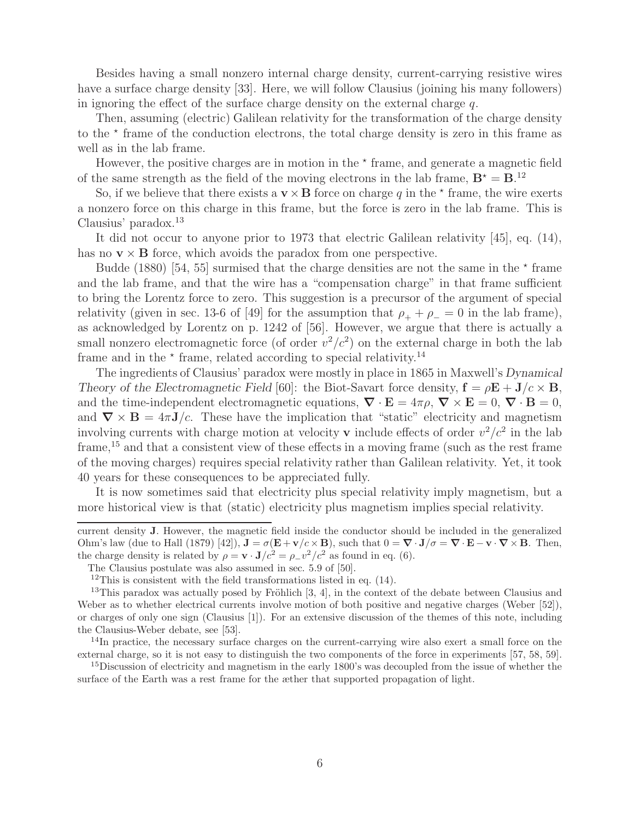Besides having a small nonzero internal charge density, current-carrying resistive wires have a surface charge density [33]. Here, we will follow Clausius (joining his many followers) in ignoring the effect of the surface charge density on the external charge  $q$ .

Then, assuming (electric) Galilean relativity for the transformation of the charge density to the  $*$  frame of the conduction electrons, the total charge density is zero in this frame as well as in the lab frame.

However, the positive charges are in motion in the  $\star$  frame, and generate a magnetic field of the same strength as the field of the moving electrons in the lab frame,  $B^* = B$ .<sup>12</sup>

So, if we believe that there exists a  $\mathbf{v} \times \mathbf{B}$  force on charge q in the  $\star$  frame, the wire exerts a nonzero force on this charge in this frame, but the force is zero in the lab frame. This is Clausius' paradox.<sup>13</sup>

It did not occur to anyone prior to 1973 that electric Galilean relativity [45], eq. (14), has no  $\mathbf{v} \times \mathbf{B}$  force, which avoids the paradox from one perspective.

Budde (1880) [54, 55] surmised that the charge densities are not the same in the  $\star$  frame and the lab frame, and that the wire has a "compensation charge" in that frame sufficient to bring the Lorentz force to zero. This suggestion is a precursor of the argument of special relativity (given in sec. 13-6 of [49] for the assumption that  $\rho_+ + \rho_- = 0$  in the lab frame), as acknowledged by Lorentz on p. 1242 of [56]. However, we argue that there is actually a small nonzero electromagnetic force (of order  $v^2/c^2$ ) on the external charge in both the lab frame and in the  $\star$  frame, related according to special relativity.<sup>14</sup>

The ingredients of Clausius' paradox were mostly in place in 1865 in Maxwell's *Dynamical Theory of the Electromagnetic Field* [60]: the Biot-Savart force density,  $\mathbf{f} = \rho \mathbf{E} + \mathbf{J}/c \times \mathbf{B}$ , and the time-independent electromagnetic equations,  $\nabla \cdot \mathbf{E} = 4\pi \rho$ ,  $\nabla \times \mathbf{E} = 0$ ,  $\nabla \cdot \mathbf{B} = 0$ , and  $\nabla \times \mathbf{B} = 4\pi \mathbf{J}/c$ . These have the implication that "static" electricity and magnetism involving currents with charge motion at velocity **v** include effects of order  $v^2/c^2$  in the lab frame,  $15$  and that a consistent view of these effects in a moving frame (such as the rest frame of the moving charges) requires special relativity rather than Galilean relativity. Yet, it took 40 years for these consequences to be appreciated fully.

It is now sometimes said that electricity plus special relativity imply magnetism, but a more historical view is that (static) electricity plus magnetism implies special relativity.

current density **J**. However, the magnetic field inside the conductor should be included in the generalized Ohm's law (due to Hall (1879) [42]),  $\mathbf{J} = \sigma(\mathbf{E} + \mathbf{v}/c \times \mathbf{B})$ , such that  $0 = \nabla \cdot \mathbf{J}/\sigma = \nabla \cdot \mathbf{E} - \mathbf{v} \cdot \nabla \times \mathbf{B}$ . Then, the charge density is related by  $\rho = \mathbf{v} \cdot \mathbf{J}/c^2 = \rho_{\perp} v^2/c^2$  as found in eq. (6).

The Clausius postulate was also assumed in sec. 5.9 of [50].

 $12$ This is consistent with the field transformations listed in eq. (14).

<sup>&</sup>lt;sup>13</sup>This paradox was actually posed by Fröhlich  $[3, 4]$ , in the context of the debate between Clausius and Weber as to whether electrical currents involve motion of both positive and negative charges (Weber [52]), or charges of only one sign (Clausius [1]). For an extensive discussion of the themes of this note, including the Clausius-Weber debate, see [53].

 $14$ In practice, the necessary surface charges on the current-carrying wire also exert a small force on the external charge, so it is not easy to distinguish the two components of the force in experiments [57, 58, 59].

<sup>15</sup>Discussion of electricity and magnetism in the early 1800's was decoupled from the issue of whether the surface of the Earth was a rest frame for the æther that supported propagation of light.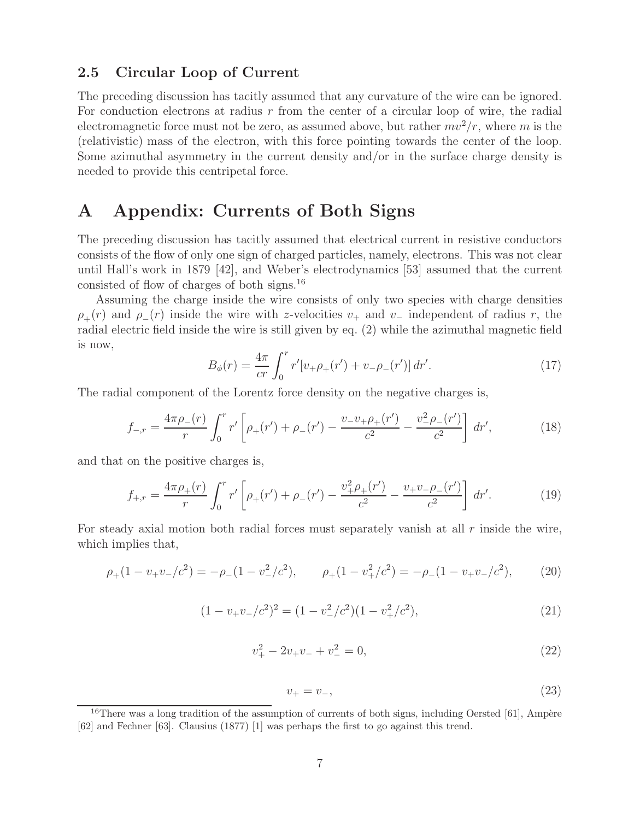### **2.5 Circular Loop of Current**

The preceding discussion has tacitly assumed that any curvature of the wire can be ignored. For conduction electrons at radius  $r$  from the center of a circular loop of wire, the radial electromagnetic force must not be zero, as assumed above, but rather  $mv^2/r$ , where m is the (relativistic) mass of the electron, with this force pointing towards the center of the loop. Some azimuthal asymmetry in the current density and/or in the surface charge density is needed to provide this centripetal force.

## **A Appendix: Currents of Both Signs**

The preceding discussion has tacitly assumed that electrical current in resistive conductors consists of the flow of only one sign of charged particles, namely, electrons. This was not clear until Hall's work in 1879 [42], and Weber's electrodynamics [53] assumed that the current consisted of flow of charges of both signs.<sup>16</sup>

Assuming the charge inside the wire consists of only two species with charge densities  $\rho_{+}(r)$  and  $\rho_{-}(r)$  inside the wire with z-velocities  $v_{+}$  and  $v_{-}$  independent of radius r, the radial electric field inside the wire is still given by eq. (2) while the azimuthal magnetic field is now,

$$
B_{\phi}(r) = \frac{4\pi}{cr} \int_0^r r'[v_+\rho_+(r') + v_-\rho_-(r')] \, dr'.
$$
 (17)

The radial component of the Lorentz force density on the negative charges is,

$$
f_{-,r} = \frac{4\pi\rho_{-}(r)}{r} \int_0^r r' \left[ \rho_{+}(r') + \rho_{-}(r') - \frac{v_{-}v_{+}\rho_{+}(r')}{c^2} - \frac{v_{-}^2\rho_{-}(r')}{c^2} \right] dr', \tag{18}
$$

and that on the positive charges is,

$$
f_{+,r} = \frac{4\pi\rho_+(r)}{r} \int_0^r r' \left[ \rho_+(r') + \rho_-(r') - \frac{v_+^2\rho_+(r')}{c^2} - \frac{v_+v_-\rho_-(r')}{c^2} \right] dr'. \tag{19}
$$

For steady axial motion both radial forces must separately vanish at all  $r$  inside the wire, which implies that,

$$
\rho_+(1-v_+v_-/c^2) = -\rho_-(1-v_-^2/c^2), \qquad \rho_+(1-v_+^2/c^2) = -\rho_-(1-v_+v_-/c^2), \tag{20}
$$

$$
(1 - v_{+}v_{-}/c^{2})^{2} = (1 - v_{-}^{2}/c^{2})(1 - v_{+}^{2}/c^{2}),
$$
\n(21)

$$
v_+^2 - 2v_+v_- + v_-^2 = 0,\t\t(22)
$$

$$
v_{+} = v_{-}, \tag{23}
$$

 $16$ There was a long tradition of the assumption of currents of both signs, including Oersted [61], Ampère [62] and Fechner [63]. Clausius (1877) [1] was perhaps the first to go against this trend.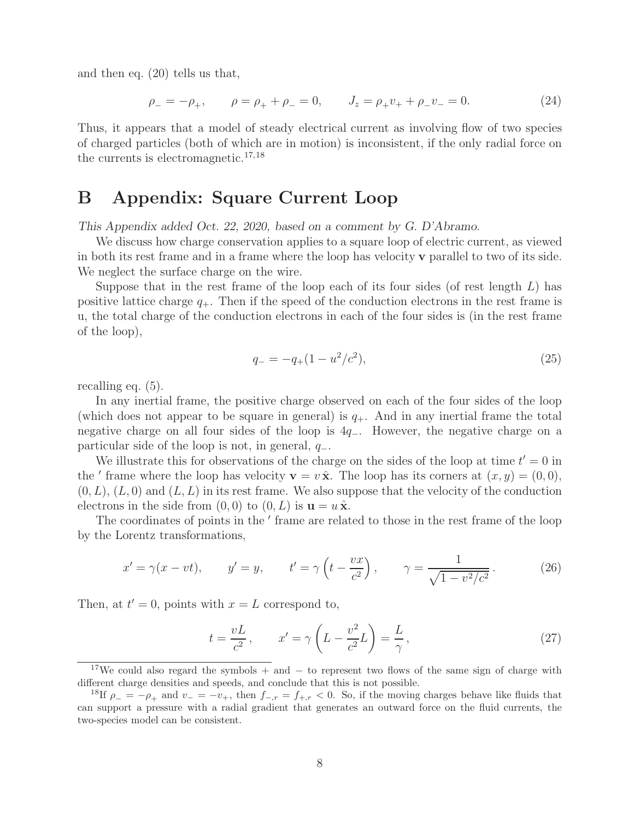and then eq. (20) tells us that,

$$
\rho_- = -\rho_+, \qquad \rho = \rho_+ + \rho_- = 0, \qquad J_z = \rho_+ v_+ + \rho_- v_- = 0. \tag{24}
$$

Thus, it appears that a model of steady electrical current as involving flow of two species of charged particles (both of which are in motion) is inconsistent, if the only radial force on the currents is electromagnetic.<sup>17,18</sup>

### **B Appendix: Square Current Loop**

*This Appendix added Oct. 22, 2020, based on a comment by G. D'Abramo.*

We discuss how charge conservation applies to a square loop of electric current, as viewed in both its rest frame and in a frame where the loop has velocity **v** parallel to two of its side. We neglect the surface charge on the wire.

Suppose that in the rest frame of the loop each of its four sides (of rest length  $L$ ) has positive lattice charge  $q_{+}$ . Then if the speed of the conduction electrons in the rest frame is u, the total charge of the conduction electrons in each of the four sides is (in the rest frame of the loop),

$$
q_{-} = -q_{+}(1 - u^{2}/c^{2}), \qquad (25)
$$

recalling eq. (5).

In any inertial frame, the positive charge observed on each of the four sides of the loop (which does not appear to be square in general) is  $q_{+}$ . And in any inertial frame the total negative charge on all four sides of the loop is 4q−. However, the negative charge on a particular side of the loop is not, in general,  $q_-\$ .

We illustrate this for observations of the charge on the sides of the loop at time  $t'=0$  in the ' frame where the loop has velocity  $\mathbf{v} = v \hat{\mathbf{x}}$ . The loop has its corners at  $(x, y) = (0, 0)$ ,  $(0, L)$ ,  $(L, 0)$  and  $(L, L)$  in its rest frame. We also suppose that the velocity of the conduction electrons in the side from  $(0, 0)$  to  $(0, L)$  is  $\mathbf{u} = u \hat{\mathbf{x}}$ .

The coordinates of points in the ' frame are related to those in the rest frame of the loop by the Lorentz transformations,

$$
x' = \gamma(x - vt),
$$
  $y' = y,$   $t' = \gamma \left( t - \frac{vx}{c^2} \right),$   $\gamma = \frac{1}{\sqrt{1 - v^2/c^2}}.$  (26)

Then, at  $t'=0$ , points with  $x=L$  correspond to,

$$
t = \frac{vL}{c^2}, \qquad x' = \gamma \left( L - \frac{v^2}{c^2} L \right) = \frac{L}{\gamma}, \qquad (27)
$$

<sup>&</sup>lt;sup>17</sup>We could also regard the symbols + and  $-$  to represent two flows of the same sign of charge with different charge densities and speeds, and conclude that this is not possible.

<sup>&</sup>lt;sup>18</sup>If  $\rho = -\rho_+$  and  $v = -v_+$ , then  $f_{-,r} = f_{+,r} < 0$ . So, if the moving charges behave like fluids that can support a pressure with a radial gradient that generates an outward force on the fluid currents, the two-species model can be consistent.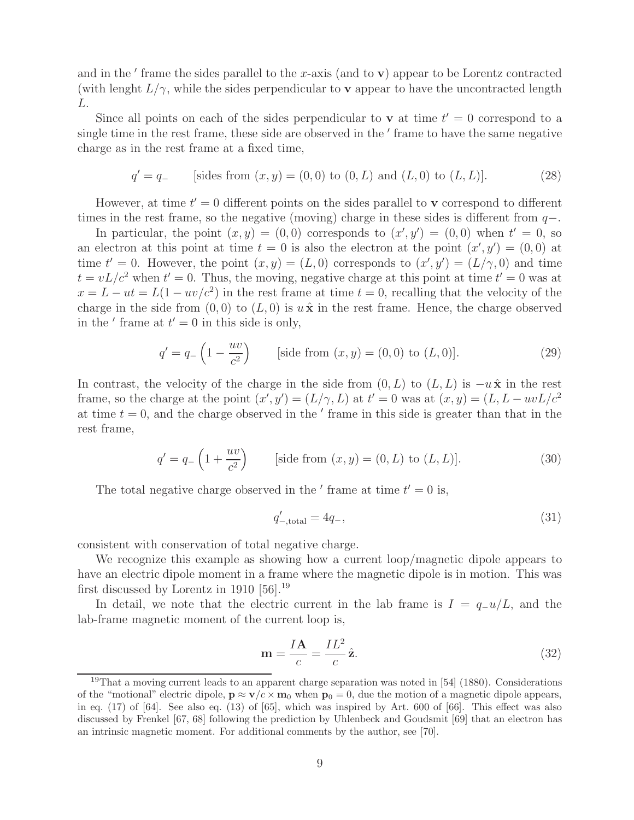and in the  $'$  frame the sides parallel to the x-axis (and to  $\bf{v}$ ) appear to be Lorentz contracted (with lenght  $L/\gamma$ , while the sides perpendicular to **v** appear to have the uncontracted length L.

Since all points on each of the sides perpendicular to **v** at time  $t' = 0$  correspond to a single time in the rest frame, these side are observed in the ' frame to have the same negative charge as in the rest frame at a fixed time,

$$
q' = q_-
$$
 [sides from  $(x, y) = (0, 0)$  to  $(0, L)$  and  $(L, 0)$  to  $(L, L)$ ]. (28)

However, at time  $t' = 0$  different points on the sides parallel to **v** correspond to different times in the rest frame, so the negative (moving) charge in these sides is different from  $q-$ .

In particular, the point  $(x, y) = (0, 0)$  corresponds to  $(x', y') = (0, 0)$  when  $t' = 0$ , so an electron at this point at time  $t = 0$  is also the electron at the point  $(x', y') = (0, 0)$  at time  $t'=0$ . However, the point  $(x,y)=(L,0)$  corresponds to  $(x',y')=(L/\gamma,0)$  and time  $t = vL/c^2$  when  $t' = 0$ . Thus, the moving, negative charge at this point at time  $t' = 0$  was at  $x = L - ut = L(1 - uv/c^2)$  in the rest frame at time  $t = 0$ , recalling that the velocity of the charge in the side from  $(0, 0)$  to  $(L, 0)$  is  $u\hat{\mathbf{x}}$  in the rest frame. Hence, the charge observed in the ' frame at  $t'=0$  in this side is only,

$$
q' = q_{-}\left(1 - \frac{uv}{c^2}\right) \qquad \text{[side from } (x, y) = (0, 0) \text{ to } (L, 0)]. \tag{29}
$$

In contrast, the velocity of the charge in the side from  $(0, L)$  to  $(L, L)$  is  $-u\hat{\mathbf{x}}$  in the rest frame, so the charge at the point  $(x', y') = (L/\gamma, L)$  at  $t' = 0$  was at  $(x, y) = (L, L - uvL/c^2)$ at time  $t = 0$ , and the charge observed in the  $'$  frame in this side is greater than that in the rest frame,

$$
q' = q_{-}\left(1 + \frac{uv}{c^2}\right)
$$
 [side from  $(x, y) = (0, L)$  to  $(L, L)$ ]. (30)

The total negative charge observed in the  $'$  frame at time  $t'=0$  is,

$$
q'_{\text{–total}} = 4q_{\text{–}},\tag{31}
$$

consistent with conservation of total negative charge.

We recognize this example as showing how a current loop/magnetic dipole appears to have an electric dipole moment in a frame where the magnetic dipole is in motion. This was first discussed by Lorentz in 1910 [56].<sup>19</sup>

In detail, we note that the electric current in the lab frame is  $I = q_{-}u/L$ , and the lab-frame magnetic moment of the current loop is,

$$
\mathbf{m} = \frac{I\mathbf{A}}{c} = \frac{IL^2}{c}\hat{\mathbf{z}}.\tag{32}
$$

<sup>&</sup>lt;sup>19</sup>That a moving current leads to an apparent charge separation was noted in  $[54]$  (1880). Considerations of the "motional" electric dipole,  $\mathbf{p} \approx \mathbf{v}/c \times \mathbf{m}_0$  when  $\mathbf{p}_0 = 0$ , due the motion of a magnetic dipole appears, in eq. (17) of [64]. See also eq. (13) of [65], which was inspired by Art. 600 of [66]. This effect was also discussed by Frenkel [67, 68] following the prediction by Uhlenbeck and Goudsmit [69] that an electron has an intrinsic magnetic moment. For additional comments by the author, see [70].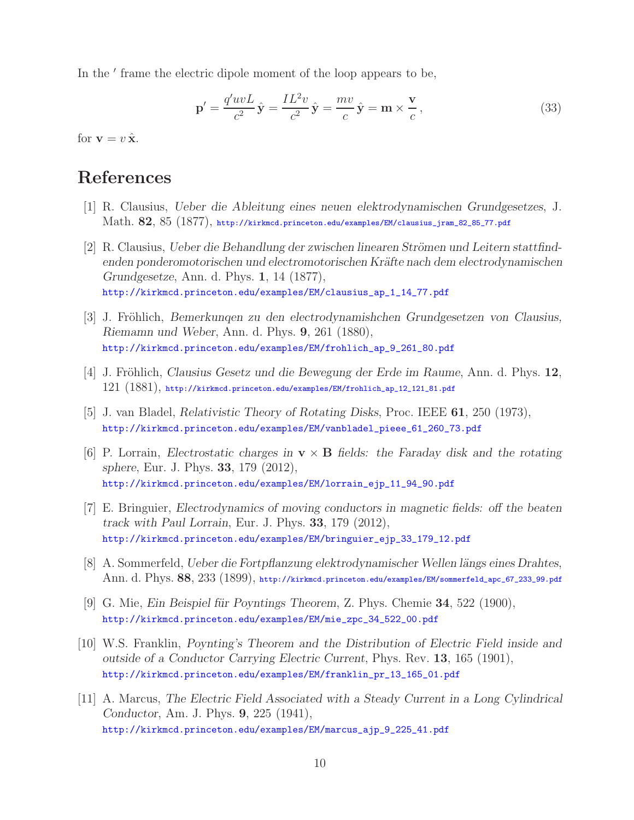In the ' frame the electric dipole moment of the loop appears to be,

$$
\mathbf{p}' = \frac{q'uvL}{c^2}\hat{\mathbf{y}} = \frac{IL^2v}{c^2}\hat{\mathbf{y}} = \frac{mv}{c}\hat{\mathbf{y}} = \mathbf{m} \times \frac{\mathbf{v}}{c},\tag{33}
$$

for  $\mathbf{v} = v \hat{\mathbf{x}}$ .

## **References**

- [1] R. Clausius, *Ueber die Ableitung eines neuen elektrodynamischen Grundgesetzes*, J. Math. **82**, 85 (1877), http://kirkmcd.princeton.edu/examples/EM/clausius\_jram\_82\_85\_77.pdf
- [2] R. Clausius, *Ueber die Behandlung der zwischen linearen Strömen und Leitern stattfindenden ponderomotorischen und electromotorischen Kr¨afte nach dem electrodynamischen Grundgesetze*, Ann. d. Phys. **1**, 14 (1877), http://kirkmcd.princeton.edu/examples/EM/clausius\_ap\_1\_14\_77.pdf
- [3] J. Fröhlich, *Bemerkungen zu den electrodynamishchen Grundgesetzen von Clausius*, *Riemamn und Weber*, Ann. d. Phys. **9**, 261 (1880), http://kirkmcd.princeton.edu/examples/EM/frohlich\_ap\_9\_261\_80.pdf
- [4] J. Fröhlich, *Clausius Gesetz und die Bewegung der Erde im Raume*, Ann. d. Phys. 12,  $121$   $(1881)$ , http://kirkmcd.princeton.edu/examples/EM/frohlich\_ap\_12\_121\_81.pdf
- [5] J. van Bladel, *Relativistic Theory of Rotating Disks*, Proc. IEEE **61**, 250 (1973), http://kirkmcd.princeton.edu/examples/EM/vanbladel\_pieee\_61\_260\_73.pdf
- [6] P. Lorrain, *Electrostatic charges in* **v** × **B** *fields: the Faraday disk and the rotating sphere*, Eur. J. Phys. **33**, 179 (2012), http://kirkmcd.princeton.edu/examples/EM/lorrain\_ejp\_11\_94\_90.pdf
- [7] E. Bringuier, *Electrodynamics of moving conductors in magnetic fields: off the beaten track with Paul Lorrain*, Eur. J. Phys. **33**, 179 (2012), http://kirkmcd.princeton.edu/examples/EM/bringuier\_ejp\_33\_179\_12.pdf
- [8] A. Sommerfeld, *Ueber die Fortpflanzung elektrodynamischer Wellen längs eines Drahtes*, Ann. d. Phys. **88**, 233 (1899), http://kirkmcd.princeton.edu/examples/EM/sommerfeld\_apc\_67\_233\_99.pdf
- [9] G. Mie, *Ein Beispiel f¨ur Poyntings Theorem*, Z. Phys. Chemie **34**, 522 (1900), http://kirkmcd.princeton.edu/examples/EM/mie\_zpc\_34\_522\_00.pdf
- [10] W.S. Franklin, *Poynting's Theorem and the Distribution of Electric Field inside and outside of a Conductor Carrying Electric Current*, Phys. Rev. **13**, 165 (1901), http://kirkmcd.princeton.edu/examples/EM/franklin\_pr\_13\_165\_01.pdf
- [11] A. Marcus, *The Electric Field Associated with a Steady Current in a Long Cylindrical Conductor*, Am. J. Phys. **9**, 225 (1941), http://kirkmcd.princeton.edu/examples/EM/marcus\_ajp\_9\_225\_41.pdf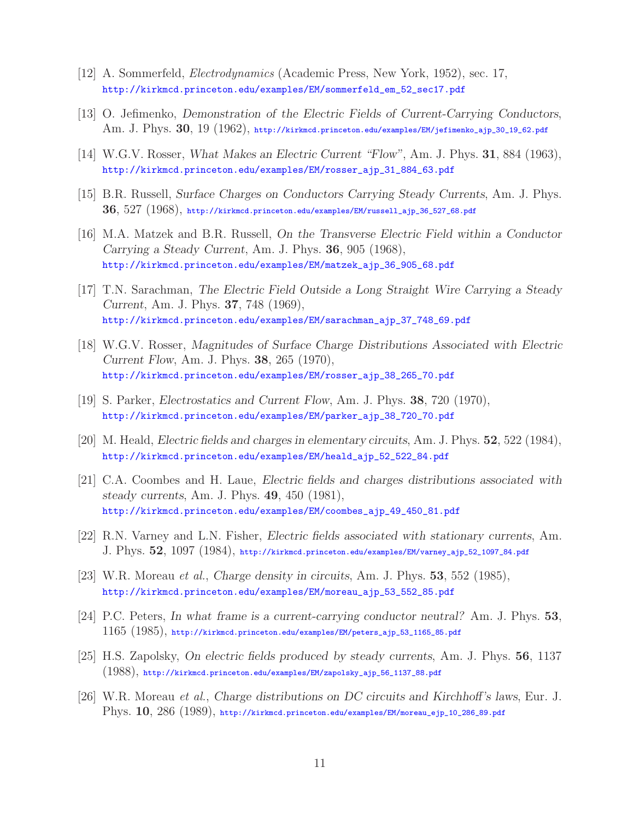- [12] A. Sommerfeld, *Electrodynamics* (Academic Press, New York, 1952), sec. 17, http://kirkmcd.princeton.edu/examples/EM/sommerfeld\_em\_52\_sec17.pdf
- [13] O. Jefimenko, *Demonstration of the Electric Fields of Current-Carrying Conductors*, Am. J. Phys. **30**, 19 (1962), http://kirkmcd.princeton.edu/examples/EM/jefimenko\_ajp\_30\_19\_62.pdf
- [14] W.G.V. Rosser, *What Makes an Electric Current "Flow"*, Am. J. Phys. **31**, 884 (1963), http://kirkmcd.princeton.edu/examples/EM/rosser\_ajp\_31\_884\_63.pdf
- [15] B.R. Russell, *Surface Charges on Conductors Carrying Steady Currents*, Am. J. Phys. **36**, 527 (1968), http://kirkmcd.princeton.edu/examples/EM/russell\_ajp\_36\_527\_68.pdf
- [16] M.A. Matzek and B.R. Russell, *On the Transverse Electric Field within a Conductor Carrying a Steady Current*, Am. J. Phys. **36**, 905 (1968), http://kirkmcd.princeton.edu/examples/EM/matzek\_ajp\_36\_905\_68.pdf
- [17] T.N. Sarachman, *The Electric Field Outside a Long Straight Wire Carrying a Steady Current*, Am. J. Phys. **37**, 748 (1969), http://kirkmcd.princeton.edu/examples/EM/sarachman\_ajp\_37\_748\_69.pdf
- [18] W.G.V. Rosser, *Magnitudes of Surface Charge Distributions Associated with Electric Current Flow*, Am. J. Phys. **38**, 265 (1970), http://kirkmcd.princeton.edu/examples/EM/rosser\_ajp\_38\_265\_70.pdf
- [19] S. Parker, *Electrostatics and Current Flow*, Am. J. Phys. **38**, 720 (1970), http://kirkmcd.princeton.edu/examples/EM/parker\_ajp\_38\_720\_70.pdf
- [20] M. Heald, *Electric fields and charges in elementary circuits*, Am. J. Phys. **52**, 522 (1984), http://kirkmcd.princeton.edu/examples/EM/heald\_ajp\_52\_522\_84.pdf
- [21] C.A. Coombes and H. Laue, *Electric fields and charges distributions associated with steady currents*, Am. J. Phys. **49**, 450 (1981), http://kirkmcd.princeton.edu/examples/EM/coombes\_ajp\_49\_450\_81.pdf
- [22] R.N. Varney and L.N. Fisher, *Electric fields associated with stationary currents*, Am. J. Phys. **52**, 1097 (1984), http://kirkmcd.princeton.edu/examples/EM/varney\_ajp\_52\_1097\_84.pdf
- [23] W.R. Moreau *et al.*, *Charge density in circuits*, Am. J. Phys. **53**, 552 (1985), http://kirkmcd.princeton.edu/examples/EM/moreau\_ajp\_53\_552\_85.pdf
- [24] P.C. Peters, *In what frame is a current-carrying conductor neutral?* Am. J. Phys. **53**, 1165 (1985), http://kirkmcd.princeton.edu/examples/EM/peters\_ajp\_53\_1165\_85.pdf
- [25] H.S. Zapolsky, *On electric fields produced by steady currents*, Am. J. Phys. **56**, 1137 (1988), http://kirkmcd.princeton.edu/examples/EM/zapolsky\_ajp\_56\_1137\_88.pdf
- [26] W.R. Moreau *et al.*, *Charge distributions on DC circuits and Kirchhoff's laws*, Eur. J. Phys. **10**, 286 (1989), http://kirkmcd.princeton.edu/examples/EM/moreau\_ejp\_10\_286\_89.pdf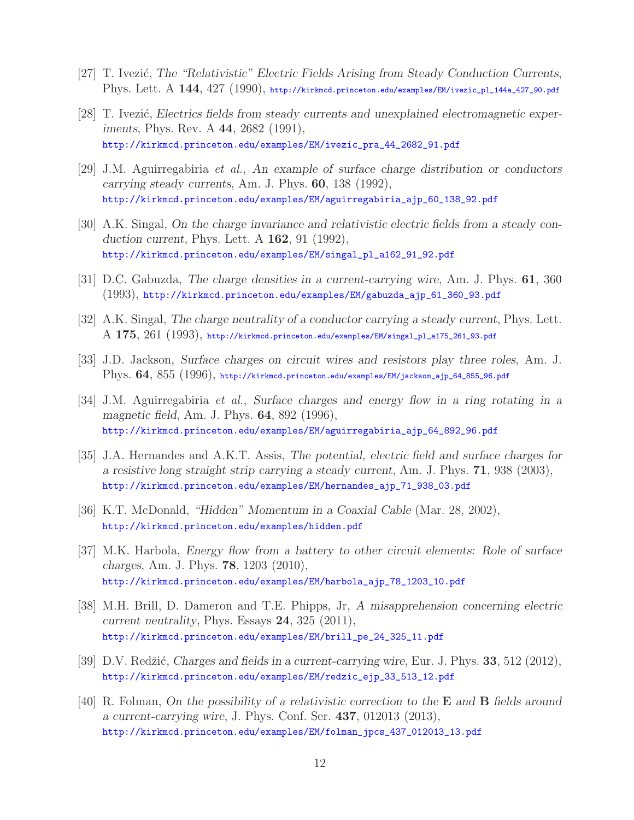- [27] T. Ivezić, *The "Relativistic" Electric Fields Arising from Steady Conduction Currents*, Phys. Lett. A **144**, 427 (1990), http://kirkmcd.princeton.edu/examples/EM/ivezic\_pl\_144a\_427\_90.pdf
- [28] T. Ivezić, *Electrics fields from steady currents and unexplained electromagnetic experiments*, Phys. Rev. A **44**, 2682 (1991), http://kirkmcd.princeton.edu/examples/EM/ivezic\_pra\_44\_2682\_91.pdf
- [29] J.M. Aguirregabiria *et al.*, *An example of surface charge distribution or conductors carrying steady currents*, Am. J. Phys. **60**, 138 (1992), http://kirkmcd.princeton.edu/examples/EM/aguirregabiria\_ajp\_60\_138\_92.pdf
- [30] A.K. Singal, *On the charge invariance and relativistic electric fields from a steady conduction current*, Phys. Lett. A **162**, 91 (1992), http://kirkmcd.princeton.edu/examples/EM/singal\_pl\_a162\_91\_92.pdf
- [31] D.C. Gabuzda, *The charge densities in a current-carrying wire*, Am. J. Phys. **61**, 360 (1993), http://kirkmcd.princeton.edu/examples/EM/gabuzda\_ajp\_61\_360\_93.pdf
- [32] A.K. Singal, *The charge neutrality of a conductor carrying a steady current*, Phys. Lett. A **175**, 261 (1993), http://kirkmcd.princeton.edu/examples/EM/singal\_pl\_a175\_261\_93.pdf
- [33] J.D. Jackson, *Surface charges on circuit wires and resistors play three roles*, Am. J. Phys. **64**, 855 (1996), http://kirkmcd.princeton.edu/examples/EM/jackson\_ajp\_64\_855\_96.pdf
- [34] J.M. Aguirregabiria *et al.*, *Surface charges and energy flow in a ring rotating in a magnetic field*, Am. J. Phys. **64**, 892 (1996), http://kirkmcd.princeton.edu/examples/EM/aguirregabiria\_ajp\_64\_892\_96.pdf
- [35] J.A. Hernandes and A.K.T. Assis, *The potential, electric field and surface charges for a resistive long straight strip carrying a steady current*, Am. J. Phys. **71**, 938 (2003), http://kirkmcd.princeton.edu/examples/EM/hernandes\_ajp\_71\_938\_03.pdf
- [36] K.T. McDonald, *"Hidden" Momentum in a Coaxial Cable* (Mar. 28, 2002), http://kirkmcd.princeton.edu/examples/hidden.pdf
- [37] M.K. Harbola, *Energy flow from a battery to other circuit elements: Role of surface charges*, Am. J. Phys. **78**, 1203 (2010), http://kirkmcd.princeton.edu/examples/EM/harbola\_ajp\_78\_1203\_10.pdf
- [38] M.H. Brill, D. Dameron and T.E. Phipps, Jr, *A misapprehension concerning electric current neutrality*, Phys. Essays **24**, 325 (2011), http://kirkmcd.princeton.edu/examples/EM/brill\_pe\_24\_325\_11.pdf
- [39] D.V. Redžić, *Charges and fields in a current-carrying wire*, Eur. J. Phys. **33**, 512 (2012), http://kirkmcd.princeton.edu/examples/EM/redzic\_ejp\_33\_513\_12.pdf
- [40] R. Folman, *On the possibility of a relativistic correction to the* **E** *and* **B** *fields around a current-carrying wire*, J. Phys. Conf. Ser. **437**, 012013 (2013), http://kirkmcd.princeton.edu/examples/EM/folman\_jpcs\_437\_012013\_13.pdf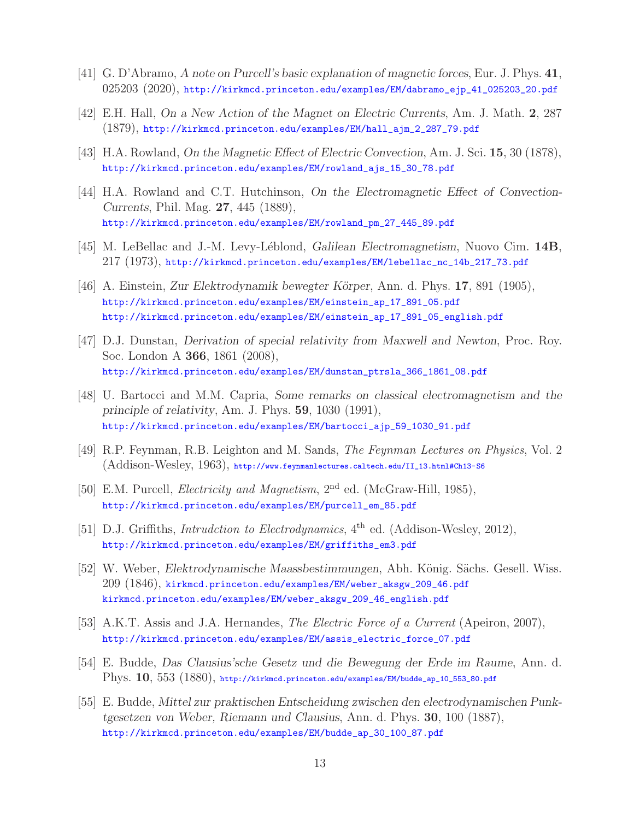- [41] G. D'Abramo, *A note on Purcell's basic explanation of magnetic forces*, Eur. J. Phys. **41**, 025203 (2020), http://kirkmcd.princeton.edu/examples/EM/dabramo\_ejp\_41\_025203\_20.pdf
- [42] E.H. Hall, *On a New Action of the Magnet on Electric Currents*, Am. J. Math. **2**, 287 (1879), http://kirkmcd.princeton.edu/examples/EM/hall\_ajm\_2\_287\_79.pdf
- [43] H.A. Rowland, *On the Magnetic Effect of Electric Convection*, Am. J. Sci. **15**, 30 (1878), http://kirkmcd.princeton.edu/examples/EM/rowland\_ajs\_15\_30\_78.pdf
- [44] H.A. Rowland and C.T. Hutchinson, *On the Electromagnetic Effect of Convection-Currents*, Phil. Mag. **27**, 445 (1889), http://kirkmcd.princeton.edu/examples/EM/rowland\_pm\_27\_445\_89.pdf
- [45] M. LeBellac and J.-M. Levy-L´eblond, *Galilean Electromagnetism*, Nuovo Cim. **14B**, 217 (1973), http://kirkmcd.princeton.edu/examples/EM/lebellac\_nc\_14b\_217\_73.pdf
- [46] A. Einstein, *Zur Elektrodynamik bewegter K¨orper*, Ann. d. Phys. **17**, 891 (1905), http://kirkmcd.princeton.edu/examples/EM/einstein\_ap\_17\_891\_05.pdf http://kirkmcd.princeton.edu/examples/EM/einstein\_ap\_17\_891\_05\_english.pdf
- [47] D.J. Dunstan, *Derivation of special relativity from Maxwell and Newton*, Proc. Roy. Soc. London A **366**, 1861 (2008), http://kirkmcd.princeton.edu/examples/EM/dunstan\_ptrsla\_366\_1861\_08.pdf
- [48] U. Bartocci and M.M. Capria, *Some remarks on classical electromagnetism and the principle of relativity*, Am. J. Phys. **59**, 1030 (1991), http://kirkmcd.princeton.edu/examples/EM/bartocci\_ajp\_59\_1030\_91.pdf
- [49] R.P. Feynman, R.B. Leighton and M. Sands, *The Feynman Lectures on Physics*, Vol. 2 (Addison-Wesley, 1963), http://www.feynmanlectures.caltech.edu/II\_13.html#Ch13-S6
- [50] E.M. Purcell, *Electricity and Magnetism*, 2nd ed. (McGraw-Hill, 1985), http://kirkmcd.princeton.edu/examples/EM/purcell\_em\_85.pdf
- [51] D.J. Griffiths, *Intrudction to Electrodynamics*, 4<sup>th</sup> ed. (Addison-Wesley, 2012), http://kirkmcd.princeton.edu/examples/EM/griffiths\_em3.pdf
- [52] W. Weber, *Elektrodynamische Maassbestimmungen*, Abh. König. Sächs. Gesell. Wiss. 209 (1846), kirkmcd.princeton.edu/examples/EM/weber\_aksgw\_209\_46.pdf kirkmcd.princeton.edu/examples/EM/weber\_aksgw\_209\_46\_english.pdf
- [53] A.K.T. Assis and J.A. Hernandes, *The Electric Force of a Current* (Apeiron, 2007), http://kirkmcd.princeton.edu/examples/EM/assis\_electric\_force\_07.pdf
- [54] E. Budde, *Das Clausius'sche Gesetz und die Bewegung der Erde im Raume*, Ann. d. Phys. **10**, 553 (1880), http://kirkmcd.princeton.edu/examples/EM/budde\_ap\_10\_553\_80.pdf
- [55] E. Budde, *Mittel zur praktischen Entscheidung zwischen den electrodynamischen Punktgesetzen von Weber, Riemann und Clausius*, Ann. d. Phys. **30**, 100 (1887), http://kirkmcd.princeton.edu/examples/EM/budde\_ap\_30\_100\_87.pdf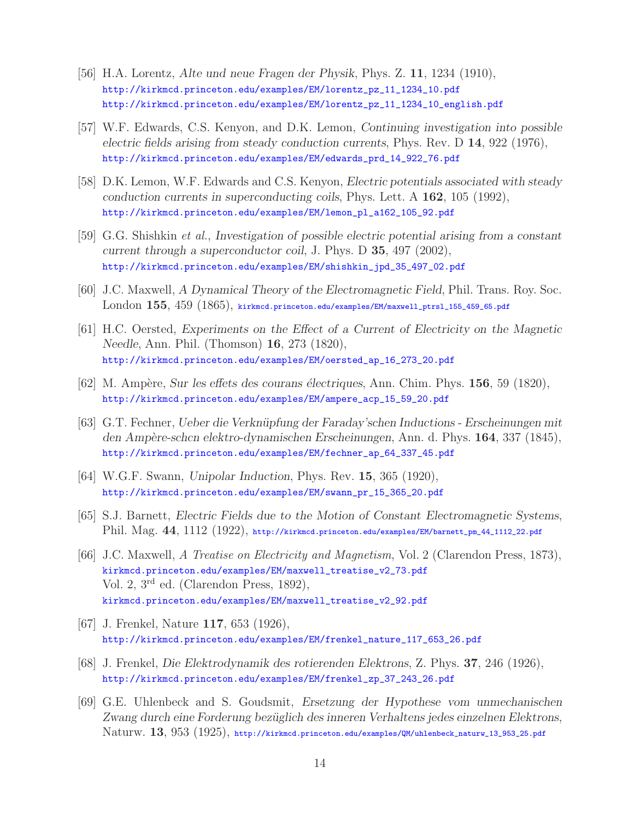- [56] H.A. Lorentz, *Alte und neue Fragen der Physik*, Phys. Z. **11**, 1234 (1910), http://kirkmcd.princeton.edu/examples/EM/lorentz\_pz\_11\_1234\_10.pdf http://kirkmcd.princeton.edu/examples/EM/lorentz\_pz\_11\_1234\_10\_english.pdf
- [57] W.F. Edwards, C.S. Kenyon, and D.K. Lemon, *Continuing investigation into possible electric fields arising from steady conduction currents*, Phys. Rev. D **14**, 922 (1976), http://kirkmcd.princeton.edu/examples/EM/edwards\_prd\_14\_922\_76.pdf
- [58] D.K. Lemon, W.F. Edwards and C.S. Kenyon, *Electric potentials associated with steady conduction currents in superconducting coils*, Phys. Lett. A **162**, 105 (1992), http://kirkmcd.princeton.edu/examples/EM/lemon\_pl\_a162\_105\_92.pdf
- [59] G.G. Shishkin *et al.*, *Investigation of possible electric potential arising from a constant current through a superconductor coil*, J. Phys. D **35**, 497 (2002), http://kirkmcd.princeton.edu/examples/EM/shishkin\_jpd\_35\_497\_02.pdf
- [60] J.C. Maxwell, *A Dynamical Theory of the Electromagnetic Field*, Phil. Trans. Roy. Soc. London **155**, 459 (1865), kirkmcd.princeton.edu/examples/EM/maxwell\_ptrsl\_155\_459\_65.pdf
- [61] H.C. Oersted, *Experiments on the Effect of a Current of Electricity on the Magnetic Needle*, Ann. Phil. (Thomson) **16**, 273 (1820), http://kirkmcd.princeton.edu/examples/EM/oersted\_ap\_16\_273\_20.pdf
- [62] M. Amp`ere, *Sur les effets des courans ´electriques*, Ann. Chim. Phys. **156**, 59 (1820), http://kirkmcd.princeton.edu/examples/EM/ampere\_acp\_15\_59\_20.pdf
- [63] G.T. Fechner, *Ueber die Verkn¨upfung der Faraday'schen Inductions Erscheinungen mit den Amp`ere-schcn elektro-dynamischen Erscheinungen*, Ann. d. Phys. **164**, 337 (1845), http://kirkmcd.princeton.edu/examples/EM/fechner\_ap\_64\_337\_45.pdf
- [64] W.G.F. Swann, *Unipolar Induction*, Phys. Rev. **15**, 365 (1920), http://kirkmcd.princeton.edu/examples/EM/swann\_pr\_15\_365\_20.pdf
- [65] S.J. Barnett, *Electric Fields due to the Motion of Constant Electromagnetic Systems*, Phil. Mag. **44**, 1112 (1922), http://kirkmcd.princeton.edu/examples/EM/barnett\_pm\_44\_1112\_22.pdf
- [66] J.C. Maxwell, *A Treatise on Electricity and Magnetism*, Vol. 2 (Clarendon Press, 1873), kirkmcd.princeton.edu/examples/EM/maxwell\_treatise\_v2\_73.pdf Vol. 2, 3rd ed. (Clarendon Press, 1892), kirkmcd.princeton.edu/examples/EM/maxwell\_treatise\_v2\_92.pdf
- [67] J. Frenkel, Nature **117**, 653 (1926), http://kirkmcd.princeton.edu/examples/EM/frenkel\_nature\_117\_653\_26.pdf
- [68] J. Frenkel, *Die Elektrodynamik des rotierenden Elektrons*, Z. Phys. **37**, 246 (1926), http://kirkmcd.princeton.edu/examples/EM/frenkel\_zp\_37\_243\_26.pdf
- [69] G.E. Uhlenbeck and S. Goudsmit, *Ersetzung der Hypothese vom unmechanischen Zwang durch eine Forderung bez¨uglich des inneren Verhaltens jedes einzelnen Elektrons*, Naturw. **13**, 953 (1925), http://kirkmcd.princeton.edu/examples/QM/uhlenbeck\_naturw\_13\_953\_25.pdf